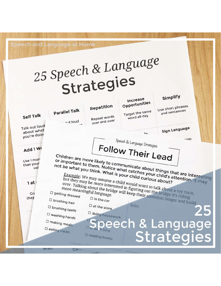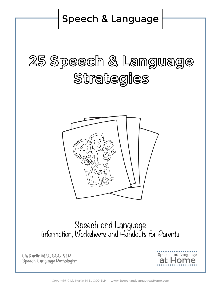Speech & Language

# 25 Speech & Language Strategies



#### Speech and Language Information, Worksheets and Handouts for Parents

**Lia Kurtin M.S., CCC-SLP Speech-Language Pathologist**



Copyright © Lia Kurtin M.S., CCC-SLP www.SpeechandLanguageatHome.com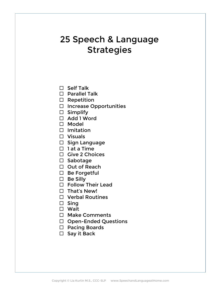- $\square$  Self Talk
- $\square$  Parallel Talk
- $\square$  Repetition
- $\square$  Increase Opportunities
- $\square$  Simplify
- □ Add 1 Word
- □ Model
- $\square$  Imitation
- $\Box$  Visuals
- $\square$  Sign Language
- $\Box$  1 at a Time
- $\Box$  Give 2 Choices
- □ Sabotage
- $\Box$  Out of Reach
- $\square$  Be Forgetful
- $\square$  Be Silly
- $\square$  Follow Their Lead
- $\Box$  That's New!
- $\Box$  Verbal Routines
- $\square$  Sing
- $\Box$  Wait
- $\Box$  Make Comments
- □ Open-Ended Questions
- □ Pacing Boards
- $\square$  Say it Back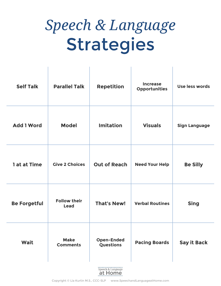| <b>Self Talk</b>    | <b>Parallel Talk</b>               | <b>Repetition</b>              | <b>Increase</b><br><b>Opportunities</b> | Use less words       |
|---------------------|------------------------------------|--------------------------------|-----------------------------------------|----------------------|
| <b>Add 1 Word</b>   | <b>Model</b>                       | <b>Imitation</b>               | <b>Visuals</b>                          | <b>Sign Language</b> |
| 1 at at Time        | <b>Give 2 Choices</b>              | <b>Out of Reach</b>            | <b>Need Your Help</b>                   | <b>Be Silly</b>      |
| <b>Be Forgetful</b> | <b>Follow their</b><br><b>Lead</b> | <b>That's New!</b>             | <b>Verbal Routines</b>                  | <b>Sing</b>          |
| Wait                | <b>Make</b><br><b>Comments</b>     | <b>Open-Ended</b><br>Questions | <b>Pacing Boards</b>                    | <b>Say it Back</b>   |
|                     |                                    |                                |                                         |                      |

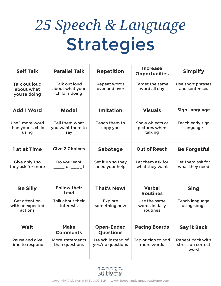$\mathbf{r}$ 

| <b>Self Talk</b>                                   | <b>Parallel Talk</b>                                      | <b>Repetition</b>                     | <b>Increase</b><br><b>Opportunities</b>     | <b>Simplify</b>                               |
|----------------------------------------------------|-----------------------------------------------------------|---------------------------------------|---------------------------------------------|-----------------------------------------------|
| <b>Talk out loud</b><br>about what<br>you're doing | <b>Talk out loud</b><br>about what your<br>child is doing | <b>Repeat words</b><br>over and over  | Target the same<br>word all day             | Use short phrases<br>and sentences            |
| <b>Add 1 Word</b>                                  | <b>Model</b>                                              | <b>Imitation</b>                      | <b>Visuals</b>                              | <b>Sign Language</b>                          |
| Use 1 more word<br>than your is child<br>using     | Tell them what<br>you want them to<br>say                 | Teach them to<br>copy you             | Show objects or<br>pictures when<br>talking | Teach early sign<br>language                  |
| 1 at at Time                                       | <b>Give 2 Choices</b>                                     | <b>Sabotage</b>                       | <b>Out of Reach</b>                         | <b>Be Forgetful</b>                           |
| Give only 1 so<br>they ask for more                | Do you want<br>$\frac{1}{1}$ or $\frac{1}{1}$ ?           | Set it up so they<br>need your help   | Let them ask for<br>what they want          | Let them ask for<br>what they need            |
| <b>Be Silly</b>                                    | <b>Follow their</b><br>Lead                               | <b>That's New!</b>                    | <b>Verbal</b><br><b>Routines</b>            | <b>Sing</b>                                   |
| <b>Get attention</b><br>with unexpected<br>actions | <b>Talk about their</b><br>interests                      | <b>Explore</b><br>something new       | Use the same<br>words in daily<br>routines  | <b>Teach language</b><br>using songs          |
| Wait                                               | <b>Make</b><br><b>Comments</b>                            | <b>Open-Ended</b><br><b>Questions</b> | <b>Pacing Boards</b>                        | <b>Say it Back</b>                            |
| Pause and give<br>time to respond                  | More statements<br>than questions                         | Use Wh instead of<br>yes/no questions | Tap or clap to add<br>more words            | Repeat back with<br>stress on correct<br>word |

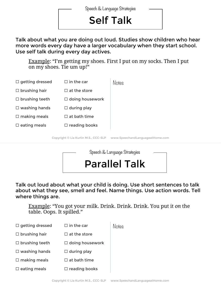## Self Talk

Talk about what you are doing out loud. Studies show children who hear more words every day have a larger vocabulary when they start school. Use self talk during every day actives.

Example: "I'm getting my shoes. First I put on my socks. Then I put on my shoes. Tie um up!"

| $\Box$ getting dressed | $\Box$ in the car                    | Notes                           |
|------------------------|--------------------------------------|---------------------------------|
| $\Box$ brushing hair   | $\Box$ at the store                  |                                 |
| $\Box$ brushing teeth  | $\Box$ doing housework               |                                 |
| $\Box$ washing hands   | $\Box$ during play                   |                                 |
| $\Box$ making meals    | $\Box$ at bath time                  |                                 |
| $\square$ eating meals | $\Box$ reading books                 |                                 |
|                        | Copyright © Lia Kurtin M.S., CCC-SLP | www.SpeechandLanguageatHome.com |



Talk out loud about what your child is doing. Use short sentences to talk about what they see, smell and feel. Name things. Use action words. Tell where things are.

Example: "You got your milk. Drink. Drink. Drink. You put it *on* the table. Oops. It spilled."

| $\Box$ getting dressed | $\Box$ in the car       | Notes |
|------------------------|-------------------------|-------|
| $\Box$ brushing hair   | $\Box$ at the store     |       |
| $\Box$ brushing teeth  | $\Box$ doing housework  |       |
| $\Box$ washing hands   | $\Box$ during play      |       |
| $\Box$ making meals    | $\Box$ at bath time     |       |
| $\square$ eating meals | $\square$ reading books |       |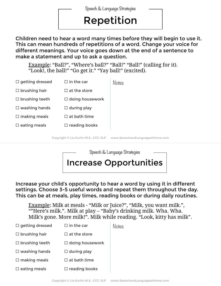## Repetition

Children need to hear a word many times before they will begin to use it. This can mean hundreds of repetitions of a word. Change your voice for different meanings. Your voice goes down at the end of a sentence to make a statement and up to ask a question.

Example: "Ball?", "Where's ball?" "Ball!" "Ball!" (calling for it). "Look!, the ball!" "Go get it." "Yay ball!" (excited).

| $\Box$ getting dressed | $\Box$ in the car                    | Notes                           |
|------------------------|--------------------------------------|---------------------------------|
| $\Box$ brushing hair   | $\Box$ at the store                  |                                 |
| $\Box$ brushing teeth  | $\Box$ doing housework               |                                 |
| $\Box$ washing hands   | $\Box$ during play                   |                                 |
| $\Box$ making meals    | $\Box$ at bath time                  |                                 |
| $\Box$ eating meals    | $\Box$ reading books                 |                                 |
|                        | Copyright © Lia Kurtin M.S., CCC-SLP | www.SpeechandLanguageatHome.com |



Increase your child's opportunity to hear a word by using it in different settings. Choose 3-5 useful words and repeat them throughout the day. This can be at meals, play times, reading books or during daily routines.

Example: Milk at meals - "Milk or Juice?", "Milk, you want milk.", ""Here's milk.". Milk at play – "Baby's drinking milk. Wha. Wha. Milk's gone. More milk!". Milk while reading. "Look, kitty has milk".

| $\Box$ getting dressed | $\Box$ in the car      | Notes |
|------------------------|------------------------|-------|
| $\Box$ brushing hair   | $\Box$ at the store    |       |
| $\Box$ brushing teeth  | $\Box$ doing housework |       |
| $\Box$ washing hands   | $\Box$ during play     |       |
| $\Box$ making meals    | $\Box$ at bath time    |       |
| $\Box$ eating meals    | $\Box$ reading books   |       |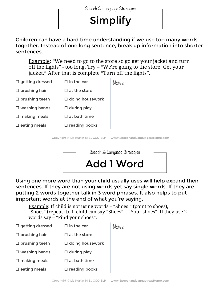## Simplify

#### Children can have a hard time understanding if we use too many words together. Instead of one long sentence, break up information into shorter sentences.

Example: "We need to go to the store so go get your jacket and turn off the lights" - too long. Try – "We're going to the store. Get your jacket." After that is complete "Turn off the lights".

| $\Box$ getting dressed | $\Box$ in the car                    | Notes                           |
|------------------------|--------------------------------------|---------------------------------|
| $\Box$ brushing hair   | $\Box$ at the store                  |                                 |
| $\Box$ brushing teeth  | $\Box$ doing housework               |                                 |
| $\Box$ washing hands   | $\Box$ during play                   |                                 |
| $\Box$ making meals    | $\Box$ at bath time                  |                                 |
| $\Box$ eating meals    | $\Box$ reading books                 |                                 |
|                        | Copyright © Lia Kurtin M.S., CCC-SLP | www.SpeechandLanguageatHome.com |
|                        |                                      |                                 |



Using one more word than your child usually uses will help expand their sentences. If they are not using words yet say single words. If they are putting 2 words together talk in 3 word phrases. It also helps to put important words at the end of what you're saying.

Example: If child is not using words – "Shoes." (point to shoes), "Shoes" (repeat it). If child can say "Shoes" - "Your shoes". If they use 2 words say – "Find your shoes".

| $\Box$ getting dressed | $\Box$ in the car      | Notes |
|------------------------|------------------------|-------|
| $\Box$ brushing hair   | $\Box$ at the store    |       |
| $\Box$ brushing teeth  | $\Box$ doing housework |       |
| $\Box$ washing hands   | $\Box$ during play     |       |
| $\Box$ making meals    | $\Box$ at bath time    |       |
| $\Box$ eating meals    | $\Box$ reading books   |       |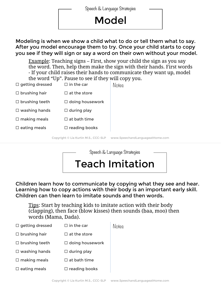#### Model

Modeling is when we show a child what to do or tell them what to say. After you model encourage them to try. Once your child starts to copy you see if they will sign or say a word on their own without your model.

Example: Teaching signs – First, show your child the sign as you say the word. Then, help them make the sign with their hands. First words - If your child raises their hands to communicate they want up, model the word "Up". Pause to see if they will copy you.

| $\Box$ getting dressed | $\Box$ in the car                    | Notes                           |
|------------------------|--------------------------------------|---------------------------------|
| $\Box$ brushing hair   | $\Box$ at the store                  |                                 |
| $\Box$ brushing teeth  | $\Box$ doing housework               |                                 |
| $\Box$ washing hands   | $\Box$ during play                   |                                 |
| $\Box$ making meals    | $\Box$ at bath time                  |                                 |
| $\Box$ eating meals    | $\Box$ reading books                 |                                 |
|                        | Copyright © Lia Kurtin M.S., CCC-SLP | www.SpeechandLanguageatHome.com |



Children learn how to communicate by copying what they see and hear. Learning how to copy actions with their body is an important early skill. Children can then learn to imitate sounds and then words.

Tips: Start by teaching kids to imitate action with their body (clapping), then face (blow kisses) then sounds (baa, moo) then words (Mama, Dada).

| $\Box$ getting dressed | $\Box$ in the car      | Notes |
|------------------------|------------------------|-------|
| $\Box$ brushing hair   | $\Box$ at the store    |       |
| $\Box$ brushing teeth  | $\Box$ doing housework |       |
| $\Box$ washing hands   | $\Box$ during play     |       |
| $\Box$ making meals    | $\Box$ at bath time    |       |
| $\Box$ eating meals    | $\Box$ reading books   |       |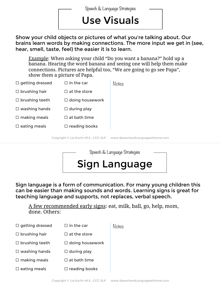### Use Visuals

Show your child objects or pictures of what you're talking about. Our brains learn words by making connections. The more input we get in (see, hear, smell, taste, feel) the easier it is to learn.

Example: When asking your child "Do you want a banana?" hold up a banana. Hearing the word banana and seeing one will help them make connections. Pictures are helpful too, "We are going to go see Papa", show them a picture of Papa.

| $\Box$ getting dressed | $\Box$ in the car                    | <b>Notes</b>                    |
|------------------------|--------------------------------------|---------------------------------|
| $\Box$ brushing hair   | $\Box$ at the store                  |                                 |
| $\Box$ brushing teeth  | $\Box$ doing housework               |                                 |
| $\Box$ washing hands   | $\Box$ during play                   |                                 |
| $\Box$ making meals    | $\Box$ at bath time                  |                                 |
| $\square$ eating meals | $\Box$ reading books                 |                                 |
|                        | Copyright © Lia Kurtin M.S., CCC-SLP | www.SpeechandLanguageatHome.com |



Sign language is a form of communication. For many young children this can be easier than making sounds and words. Learning signs is great for teaching language and supports, not replaces, verbal speech.

A few recommended early signs: eat, milk, ball, go, help, mom, done. Others:

| $\Box$ getting dressed | $\Box$ in the car      | Noteg |
|------------------------|------------------------|-------|
| $\Box$ brushing hair   | $\Box$ at the store    |       |
| $\Box$ brushing teeth  | $\Box$ doing housework |       |
| $\Box$ washing hands   | $\Box$ during play     |       |
| $\Box$ making meals    | $\Box$ at bath time    |       |
| $\square$ eating meals | $\Box$ reading books   |       |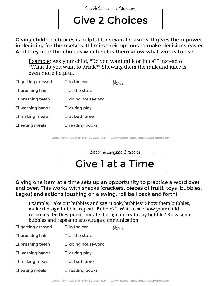Give 2 Choices Speech & Language Strategies

Giving children choices is helpful for several reasons. It gives them power in deciding for themselves. It limits their options to make decisions easier. And they hear the choices which helps them know what words to use.

Example: Ask your child, "Do you want milk or juice?" instead of "What do you want to drink?" Showing them the milk and juice is even more helpful.

| $\Box$ getting dressed | $\Box$ in the car                    | Notes                           |
|------------------------|--------------------------------------|---------------------------------|
| $\Box$ brushing hair   | $\Box$ at the store                  |                                 |
| $\Box$ brushing teeth  | $\Box$ doing housework               |                                 |
| $\Box$ washing hands   | $\Box$ during play                   |                                 |
| $\Box$ making meals    | $\Box$ at bath time                  |                                 |
| $\Box$ eating meals    | $\Box$ reading books                 |                                 |
|                        | Copyright © Lia Kurtin M.S., CCC-SLP | www.SpeechandLanguageatHome.com |



Giving one item at a time sets up an opportunity to practice a word over and over. This works with snacks (crackers, pieces of fruit), toys (bubbles, Legos) and actions (pushing on a swing, roll ball back and forth)

Example: Take out bubbles and say "Look, bubbles" Show them bubbles, make the sign bubble, repeat "Bubble?". Wait to see how your child responds. Do they point, imitate the sign or try to say bubble? Blow some bubbles and repeat to encourage communication.

| $\Box$ getting dressed | $\Box$ in the car      | Notes |
|------------------------|------------------------|-------|
| $\Box$ brushing hair   | $\Box$ at the store    |       |
| $\Box$ brushing teeth  | $\Box$ doing housework |       |
| $\Box$ washing hands   | $\Box$ during play     |       |
| $\Box$ making meals    | $\Box$ at bath time    |       |
| $\square$ eating meals | $\Box$ reading books   |       |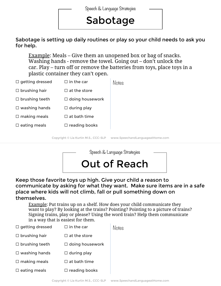#### Sabotage

Sabotage is setting up daily routines or play so your child needs to ask you for help.

Example: Meals – Give them an unopened box or bag of snacks. Washing hands - remove the towel. Going out – don't unlock the car. Play – turn off or remove the batteries from toys, place toys in a plastic container they can't open.

| $\Box$ getting dressed | $\Box$ in the car                    | Notes                           |
|------------------------|--------------------------------------|---------------------------------|
| $\Box$ brushing hair   | $\Box$ at the store                  |                                 |
| $\Box$ brushing teeth  | $\Box$ doing housework               |                                 |
| $\Box$ washing hands   | $\Box$ during play                   |                                 |
| $\Box$ making meals    | $\Box$ at bath time                  |                                 |
| $\Box$ eating meals    | $\Box$ reading books                 |                                 |
|                        | Copyright © Lia Kurtin M.S., CCC-SLP | www.SpeechandLanguageatHome.com |



Keep those favorite toys up high. Give your child a reason to communicate by asking for what they want. Make sure items are in a safe place where kids will not climb, fall or pull something down on themselves.

Example: Put trains up on a shelf. How does your child communicate they want to play? By looking at the trains? Pointing? Pointing to a picture of trains? Signing trains, play or please? Using the word train? Help them communicate in a way that is easiest for them.

| $\Box$ getting dressed | $\Box$ in the car      | Notes |
|------------------------|------------------------|-------|
| $\Box$ brushing hair   | $\Box$ at the store    |       |
| $\Box$ brushing teeth  | $\Box$ doing housework |       |
| $\Box$ washing hands   | $\Box$ during play     |       |
| $\Box$ making meals    | $\Box$ at bath time    |       |
| $\Box$ eating meals    | $\Box$ reading books   |       |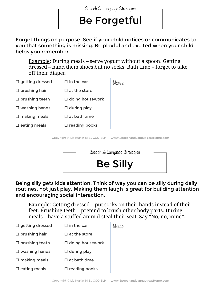#### Be Forgetful

Forget things on purpose. See if your child notices or communicates to you that something is missing. Be playful and excited when your child helps you remember.

Example: During meals – serve yogurt without a spoon. Getting dressed – hand them shoes but no socks. Bath time – forget to take off their diaper.

| $\Box$ getting dressed | $\Box$ in the car                    | Notes                           |
|------------------------|--------------------------------------|---------------------------------|
| $\Box$ brushing hair   | $\Box$ at the store                  |                                 |
| $\Box$ brushing teeth  | $\Box$ doing housework               |                                 |
| $\Box$ washing hands   | $\Box$ during play                   |                                 |
| $\Box$ making meals    | $\Box$ at bath time                  |                                 |
| $\square$ eating meals | $\Box$ reading books                 |                                 |
|                        | Copyright © Lia Kurtin M.S., CCC-SLP | www.SpeechandLanguageatHome.com |



Being silly gets kids attention. Think of way you can be silly during daily routines, not just play. Making them laugh is great for building attention and encouraging social interaction.

Example: Getting dressed – put socks on their hands instead of their feet. Brushing teeth – pretend to brush other body parts. During meals – have a stuffed animal steal their seat. Say "No, no, mine".

| $\Box$ getting dressed | $\Box$ in the car      | Notes |
|------------------------|------------------------|-------|
| $\Box$ brushing hair   | $\Box$ at the store    |       |
| $\Box$ brushing teeth  | $\Box$ doing housework |       |
| $\Box$ washing hands   | $\Box$ during play     |       |
| $\Box$ making meals    | $\Box$ at bath time    |       |
| $\square$ eating meals | $\Box$ reading books   |       |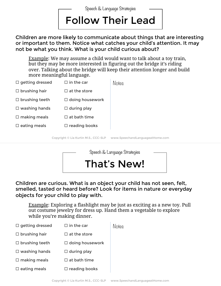Follow Their Lead Speech & Language Strategies

Children are more likely to communicate about things that are interesting or important to them. Notice what catches your child's attention. It may not be what you think. What is your child curious about?

Example: We may assume a child would want to talk about a toy train, but they may be more interested in figuring out the bridge it's riding over. Talking about the bridge will keep their attention longer and build more meaningful language.

| $\Box$ getting dressed | $\Box$ in the car                    | Notes                           |
|------------------------|--------------------------------------|---------------------------------|
| $\Box$ brushing hair   | $\Box$ at the store                  |                                 |
| $\Box$ brushing teeth  | $\Box$ doing housework               |                                 |
| $\Box$ washing hands   | $\Box$ during play                   |                                 |
| $\Box$ making meals    | $\Box$ at bath time                  |                                 |
| $\Box$ eating meals    | $\Box$ reading books                 |                                 |
|                        | Copyright © Lia Kurtin M.S., CCC-SLP | www.SpeechandLanguageatHome.com |



Children are curious. What is an object your child has not seen, felt, smelled, tasted or heard before? Look for items in nature or everyday objects for your child to play with.

Example: Exploring a flashlight may be just as exciting as a new toy. Pull out costume jewelry for dress up. Hand them a vegetable to explore while you're making dinner.

| $\Box$ getting dressed | $\Box$ in the car      | Notes |
|------------------------|------------------------|-------|
| $\Box$ brushing hair   | $\Box$ at the store    |       |
| $\Box$ brushing teeth  | $\Box$ doing housework |       |
| $\Box$ washing hands   | $\Box$ during play     |       |
| $\Box$ making meals    | $\Box$ at bath time    |       |
| $\Box$ eating meals    | $\Box$ reading books   |       |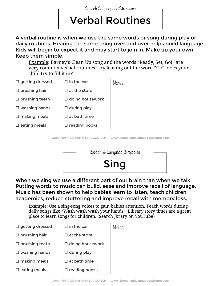### Verbal Routines

A verbal routine is when we use the same words or song during play or daily routines. Hearing the same thing over and over helps build language. Kids will begin to expect it and may start to join in. Make up your own. Keep them simple.

Example: Barney's Clean Up song and the words "Ready, Set, Go!" are very common verbal routines. Try leaving out the word "Go", does your child try to fill it in?

| $\Box$ getting dressed | $\Box$ in the car                    | Notes                           |
|------------------------|--------------------------------------|---------------------------------|
| $\Box$ brushing hair   | $\Box$ at the store                  |                                 |
| $\Box$ brushing teeth  | $\Box$ doing housework               |                                 |
| $\Box$ washing hands   | $\Box$ during play                   |                                 |
| $\Box$ making meals    | $\Box$ at bath time                  |                                 |
| $\Box$ eating meals    | $\Box$ reading books                 |                                 |
|                        | Copyright © Lia Kurtin M.S., CCC-SLP | www.SpeechandLanguageatHome.com |



When we sing we use a different part of our brain than when we talk. Putting words to music can build, ease and improve recall of language. Music has been shown to help babies learn to listen, teach children academics, reduce stuttering and improve recall with memory loss.

Example: Use a sing-song voices to gain babies attention. Teach words during daily songs like "Wash wash wash your hands". Library story times are a great place to learn songs for children. (Search Jbrary on YouTube)

| $\Box$ getting dressed | $\Box$ in the car      | Notes |
|------------------------|------------------------|-------|
| $\Box$ brushing hair   | $\Box$ at the store    |       |
| $\Box$ brushing teeth  | $\Box$ doing housework |       |
| $\Box$ washing hands   | $\Box$ during play     |       |
| $\Box$ making meals    | $\Box$ at bath time    |       |
| $\Box$ eating meals    | $\Box$ reading books   |       |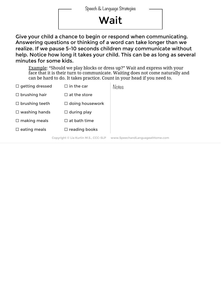### **Wait**

Give your child a chance to begin or respond when communicating. Answering questions or thinking of a word can take longer than we realize. If we pause 5-10 seconds children may communicate without help. Notice how long it takes your child. This can be as long as several minutes for some kids.

Example: "Should we play blocks or dress up?" Wait and express with your face that it is their turn to communicate. Waiting does not come naturally and can be hard to do. It takes practice. Count in your head if you need to.

| $\Box$ getting dressed | $\Box$ in the car                    | <b>Notes</b>                    |
|------------------------|--------------------------------------|---------------------------------|
| $\Box$ brushing hair   | $\Box$ at the store                  |                                 |
| $\Box$ brushing teeth  | $\Box$ doing housework               |                                 |
| $\Box$ washing hands   | $\Box$ during play                   |                                 |
| $\square$ making meals | $\Box$ at bath time                  |                                 |
| $\square$ eating meals | $\Box$ reading books                 |                                 |
|                        | Copyright © Lia Kurtin M.S., CCC-SLP | www.SpeechandLanguageatHome.com |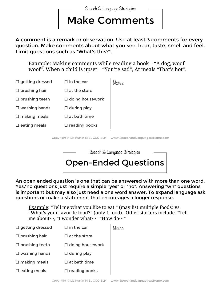#### Make Comments

A comment is a remark or observation. Use at least 3 comments for every question. Make comments about what you see, hear, taste, smell and feel. Limit questions such as "What's this?".

Example: Making comments while reading a book – "A dog, woof woof". When a child is upset – "You're sad", At meals "That's hot".

| $\Box$ getting dressed | $\Box$ in the car                    | Notes                           |
|------------------------|--------------------------------------|---------------------------------|
| $\Box$ brushing hair   | $\Box$ at the store                  |                                 |
| $\Box$ brushing teeth  | $\Box$ doing housework               |                                 |
| $\Box$ washing hands   | $\Box$ during play                   |                                 |
| $\Box$ making meals    | $\Box$ at bath time                  |                                 |
| $\Box$ eating meals    | $\Box$ reading books                 |                                 |
|                        | Copyright © Lia Kurtin M.S., CCC-SLP | www.SpeechandLanguageatHome.com |



An open ended question is one that can be answered with more than one word. Yes/no questions just require a simple "yes" or "no". Answering "wh" questions is important but may also just need a one word answer. To expand language ask questions or make a statement that encourages a longer response.

Example: "Tell me what you like to eat." (may list multiple foods) vs. "What's your favorite food?" (only 1 food). Other starters include: "Tell me about…, "I wonder what…" "How do…"

| $\Box$ getting dressed | $\Box$ in the car      | Notes |
|------------------------|------------------------|-------|
| $\Box$ brushing hair   | $\Box$ at the store    |       |
| $\Box$ brushing teeth  | $\Box$ doing housework |       |
| $\Box$ washing hands   | $\Box$ during play     |       |
| $\Box$ making meals    | $\Box$ at bath time    |       |
| $\Box$ eating meals    | $\Box$ reading books   |       |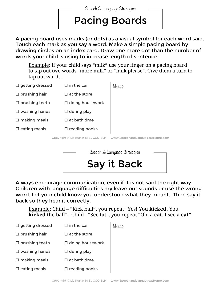#### Pacing Boards

A pacing board uses marks (or dots) as a visual symbol for each word said. Touch each mark as you say a word. Make a simple pacing board by drawing circles on an index card. Draw one more dot than the number of words your child is using to increase length of sentence.

Example: If your child says "milk" use your finger on a pacing board to tap out two words "more milk" or "milk please". Give them a turn to tap out words.

| $\Box$ getting dressed | $\Box$ in the car                    | Notes                           |
|------------------------|--------------------------------------|---------------------------------|
| $\Box$ brushing hair   | $\Box$ at the store                  |                                 |
| $\Box$ brushing teeth  | $\Box$ doing housework               |                                 |
| $\Box$ washing hands   | $\Box$ during play                   |                                 |
| $\square$ making meals | $\Box$ at bath time                  |                                 |
| $\square$ eating meals | $\Box$ reading books                 |                                 |
|                        | Copyright © Lia Kurtin M.S., CCC-SLP | www.SpeechandLanguageatHome.com |
|                        |                                      |                                 |



Always encourage communication, even if it is not said the right way. Children with language difficulties my leave out sounds or use the wrong word. Let your child know you understood what they meant. Then say it back so they hear it correctly.

Example: Child – "Kick ball", you repeat "Yes! You **kicked.** You **kicked** the ball". Child - "See tat", you repeat "Oh, a **cat**. I see a **cat**"

| $\Box$ getting dressed | $\Box$ in the car      | Notes |
|------------------------|------------------------|-------|
| $\Box$ brushing hair   | $\Box$ at the store    |       |
| $\Box$ brushing teeth  | $\Box$ doing housework |       |
| $\Box$ washing hands   | $\Box$ during play     |       |
| $\Box$ making meals    | $\Box$ at bath time    |       |
| $\Box$ eating meals    | $\Box$ reading books   |       |
|                        |                        |       |